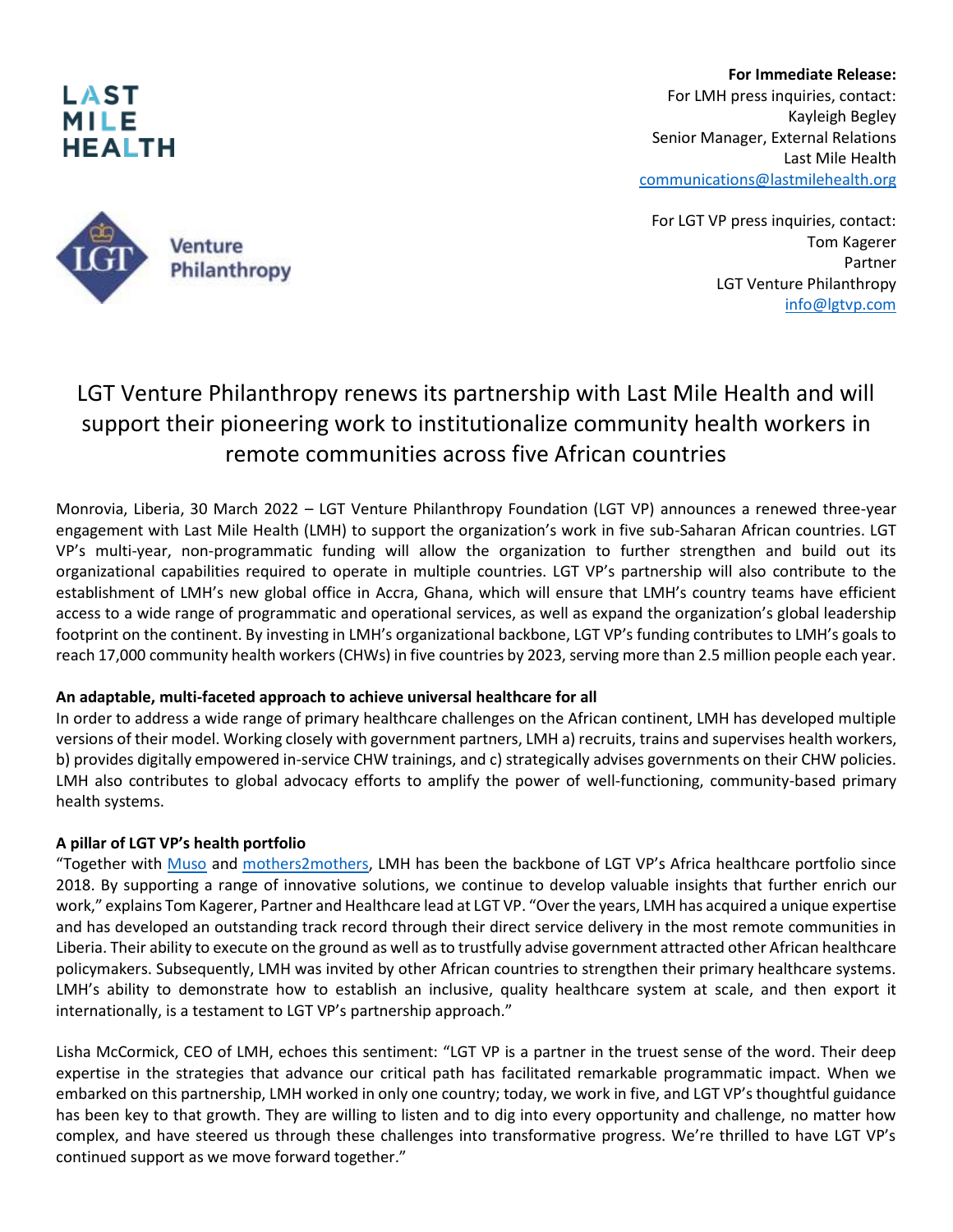

**For Immediate Release:** For LMH press inquiries, contact: Kayleigh Begley Senior Manager, External Relations Last Mile Health [communications@lastmilehealth.org](mailto:communications@lastmilehealth.org)

 For LGT VP press inquiries, contact: Tom Kagerer Partner LGT Venture Philanthropy [info@lgtvp.com](mailto:info@lgtvp.com)

## LGT Venture Philanthropy renews its partnership with Last Mile Health and will support their pioneering work to institutionalize community health workers in remote communities across five African countries

Monrovia, Liberia, 30 March 2022 – LGT Venture Philanthropy Foundation (LGT VP) announces a renewed three-year engagement with Last Mile Health (LMH) to support the organization's work in five sub-Saharan African countries. LGT VP's multi-year, non-programmatic funding will allow the organization to further strengthen and build out its organizational capabilities required to operate in multiple countries. LGT VP's partnership will also contribute to the establishment of LMH's new global office in Accra, Ghana, which will ensure that LMH's country teams have efficient access to a wide range of programmatic and operational services, as well as expand the organization's global leadership footprint on the continent. By investing in LMH's organizational backbone, LGT VP's funding contributes to LMH's goals to reach 17,000 community health workers (CHWs) in five countries by 2023, serving more than 2.5 million people each year.

## **An adaptable, multi-faceted approach to achieve universal healthcare for all**

In order to address a wide range of primary healthcare challenges on the African continent, LMH has developed multiple versions of their model. Working closely with government partners, LMH a) recruits, trains and supervises health workers, b) provides digitally empowered in-service CHW trainings, and c) strategically advises governments on their CHW policies. LMH also contributes to global advocacy efforts to amplify the power of well-functioning, community-based primary health systems.

## **A pillar of LGT VP's health portfolio**

"Together with [Muso](https://www.lgtvp.com/en/portfolio/portfolio-overview/muso/) and [mothers2mothers](https://www.lgtvp.com/en/portfolio/portfolio-overview/mothers2mothers/), LMH has been the backbone of LGT VP's Africa healthcare portfolio since 2018. By supporting a range of innovative solutions, we continue to develop valuable insights that further enrich our work," explains Tom Kagerer, Partner and Healthcare lead at LGT VP. "Over the years, LMH has acquired a unique expertise and has developed an outstanding track record through their direct service delivery in the most remote communities in Liberia. Their ability to execute on the ground as well as to trustfully advise government attracted other African healthcare policymakers. Subsequently, LMH was invited by other African countries to strengthen their primary healthcare systems. LMH's ability to demonstrate how to establish an inclusive, quality healthcare system at scale, and then export it internationally, is a testament to LGT VP's partnership approach."

Lisha McCormick, CEO of LMH, echoes this sentiment: "LGT VP is a partner in the truest sense of the word. Their deep expertise in the strategies that advance our critical path has facilitated remarkable programmatic impact. When we embarked on this partnership, LMH worked in only one country; today, we work in five, and LGT VP's thoughtful guidance has been key to that growth. They are willing to listen and to dig into every opportunity and challenge, no matter how complex, and have steered us through these challenges into transformative progress. We're thrilled to have LGT VP's continued support as we move forward together."